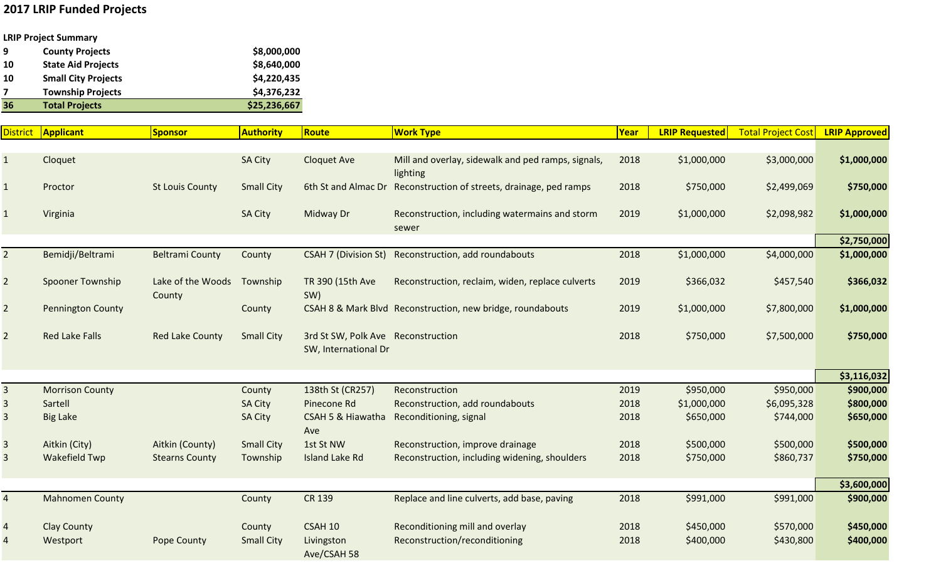## **2017 LRIP Funded Projects**

## **LRIP Project Summary**

| 9  | <b>County Projects</b>     | \$8,000,000  |
|----|----------------------------|--------------|
| 10 | <b>State Aid Projects</b>  | \$8,640,000  |
| 10 | <b>Small City Projects</b> | \$4,220,435  |
|    | <b>Township Projects</b>   | \$4,376,232  |
| 36 | <b>Total Projects</b>      | \$25,236,667 |
|    |                            |              |

| <u>District</u> | Applicant                | Sponsor                     | <b>Authority</b>  | Route                                                      | <b>Work Type</b>                                                   | Year | <b>LRIP Requested</b> | <b>Total Project Cost</b> | <b>LRIP Approved</b> |
|-----------------|--------------------------|-----------------------------|-------------------|------------------------------------------------------------|--------------------------------------------------------------------|------|-----------------------|---------------------------|----------------------|
|                 |                          |                             |                   |                                                            |                                                                    |      |                       |                           |                      |
| $\mathbf{1}$    | Cloquet                  |                             | <b>SA City</b>    | <b>Cloquet Ave</b>                                         | Mill and overlay, sidewalk and ped ramps, signals,<br>lighting     | 2018 | \$1,000,000           | \$3,000,000               | \$1,000,000          |
| $\mathbf{1}$    | Proctor                  | <b>St Louis County</b>      | <b>Small City</b> |                                                            | 6th St and Almac Dr Reconstruction of streets, drainage, ped ramps | 2018 | \$750,000             | \$2,499,069               | \$750,000            |
|                 | Virginia                 |                             | <b>SA City</b>    | Midway Dr                                                  | Reconstruction, including watermains and storm<br>sewer            | 2019 | \$1,000,000           | \$2,098,982               | \$1,000,000          |
|                 |                          |                             |                   |                                                            |                                                                    |      |                       |                           | \$2,750,000          |
| $\overline{2}$  | Bemidji/Beltrami         | <b>Beltrami County</b>      | County            | <b>CSAH 7 (Division St)</b>                                | Reconstruction, add roundabouts                                    | 2018 | \$1,000,000           | \$4,000,000               | \$1,000,000          |
| $\overline{2}$  | <b>Spooner Township</b>  | Lake of the Woods<br>County | Township          | TR 390 (15th Ave<br>SW)                                    | Reconstruction, reclaim, widen, replace culverts                   | 2019 | \$366,032             | \$457,540                 | \$366,032            |
| $\overline{2}$  | <b>Pennington County</b> |                             | County            |                                                            | CSAH 8 & Mark Blvd Reconstruction, new bridge, roundabouts         | 2019 | \$1,000,000           | \$7,800,000               | \$1,000,000          |
| $\overline{2}$  | <b>Red Lake Falls</b>    | <b>Red Lake County</b>      | <b>Small City</b> | 3rd St SW, Polk Ave Reconstruction<br>SW, International Dr |                                                                    | 2018 | \$750,000             | \$7,500,000               | \$750,000            |
|                 |                          |                             |                   |                                                            |                                                                    |      |                       |                           | \$3,116,032          |
| 3               | <b>Morrison County</b>   |                             | County            | 138th St (CR257)                                           | Reconstruction                                                     | 2019 | \$950,000             | \$950,000                 | \$900,000            |
| 3               | Sartell                  |                             | <b>SA City</b>    | Pinecone Rd                                                | Reconstruction, add roundabouts                                    | 2018 | \$1,000,000           | \$6,095,328               | \$800,000            |
| 3               | <b>Big Lake</b>          |                             | <b>SA City</b>    | CSAH 5 & Hiawatha<br>Ave                                   | Reconditioning, signal                                             | 2018 | \$650,000             | \$744,000                 | \$650,000            |
| $\mathbf{3}$    | Aitkin (City)            | Aitkin (County)             | <b>Small City</b> | 1st St NW                                                  | Reconstruction, improve drainage                                   | 2018 | \$500,000             | \$500,000                 | \$500,000            |
| 3               | <b>Wakefield Twp</b>     | <b>Stearns County</b>       | Township          | <b>Island Lake Rd</b>                                      | Reconstruction, including widening, shoulders                      | 2018 | \$750,000             | \$860,737                 | \$750,000            |
|                 |                          |                             |                   |                                                            |                                                                    |      |                       |                           | \$3,600,000          |
| $\overline{a}$  | <b>Mahnomen County</b>   |                             | County            | <b>CR 139</b>                                              | Replace and line culverts, add base, paving                        | 2018 | \$991,000             | \$991,000                 | \$900,000            |
|                 | <b>Clay County</b>       |                             | County            | <b>CSAH 10</b>                                             | Reconditioning mill and overlay                                    | 2018 | \$450,000             | \$570,000                 | \$450,000            |
|                 | Westport                 | Pope County                 | <b>Small City</b> | Livingston<br>Ave/CSAH 58                                  | Reconstruction/reconditioning                                      | 2018 | \$400,000             | \$430,800                 | \$400,000            |